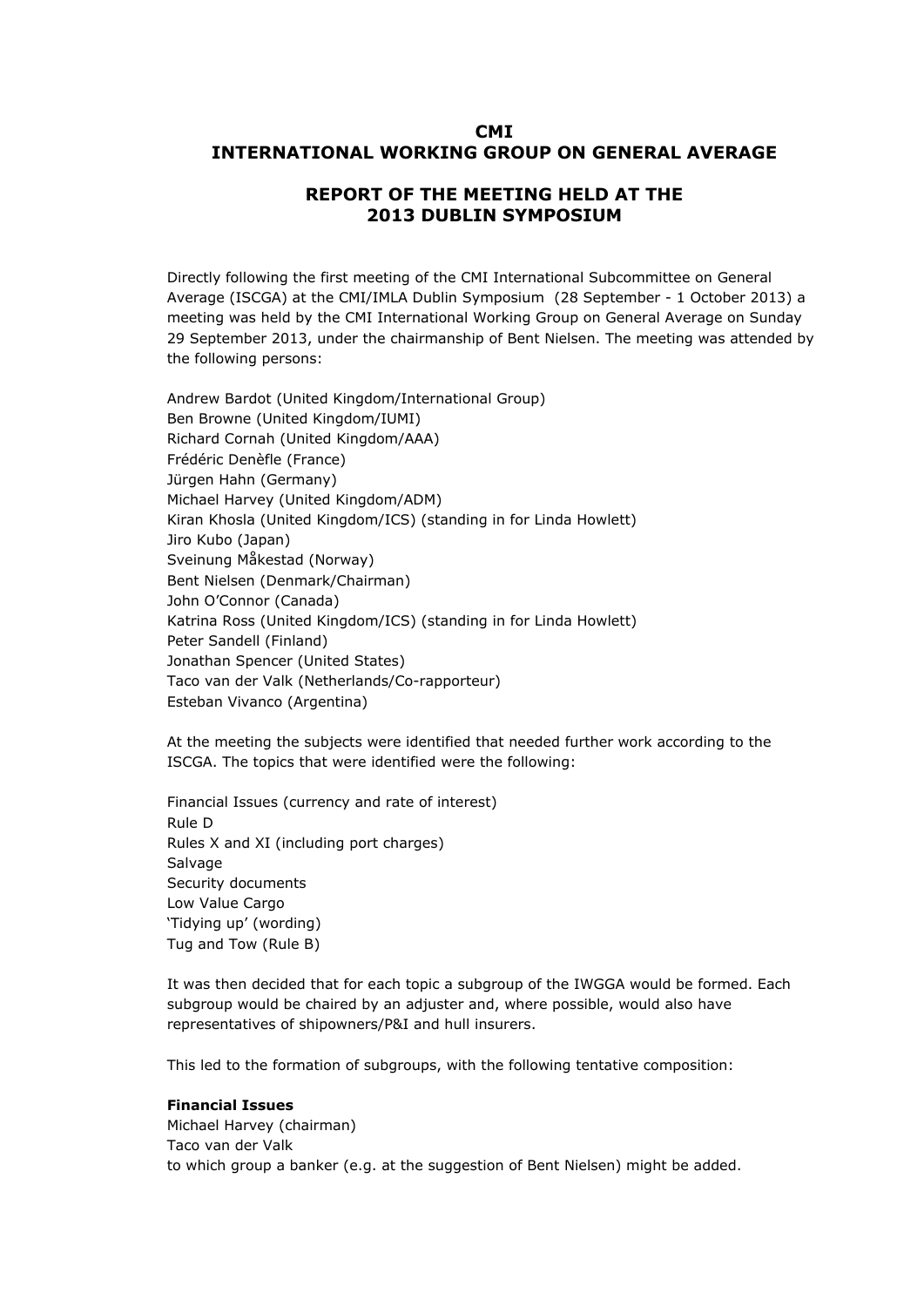### **CMI INTERNATIONAL WORKING GROUP ON GENERAL AVERAGE**

# **REPORT OF THE MEETING HELD AT THE 2013 DUBLIN SYMPOSIUM**

Directly following the first meeting of the CMI International Subcommittee on General Average (ISCGA) at the CMI/IMLA Dublin Symposium (28 September - 1 October 2013) a meeting was held by the CMI International Working Group on General Average on Sunday 29 September 2013, under the chairmanship of Bent Nielsen. The meeting was attended by the following persons:

Andrew Bardot (United Kingdom/International Group) Ben Browne (United Kingdom/IUMI) Richard Cornah (United Kingdom/AAA) Frédéric Denèfle (France) Jürgen Hahn (Germany) Michael Harvey (United Kingdom/ADM) Kiran Khosla (United Kingdom/ICS) (standing in for Linda Howlett) Jiro Kubo (Japan) Sveinung Måkestad (Norway) Bent Nielsen (Denmark/Chairman) John O'Connor (Canada) Katrina Ross (United Kingdom/ICS) (standing in for Linda Howlett) Peter Sandell (Finland) Jonathan Spencer (United States) Taco van der Valk (Netherlands/Co-rapporteur) Esteban Vivanco (Argentina)

At the meeting the subjects were identified that needed further work according to the ISCGA. The topics that were identified were the following:

Financial Issues (currency and rate of interest) Rule D Rules X and XI (including port charges) Salvage Security documents Low Value Cargo 'Tidying up' (wording) Tug and Tow (Rule B)

It was then decided that for each topic a subgroup of the IWGGA would be formed. Each subgroup would be chaired by an adjuster and, where possible, would also have representatives of shipowners/P&I and hull insurers.

This led to the formation of subgroups, with the following tentative composition:

#### **Financial Issues**

Michael Harvey (chairman) Taco van der Valk to which group a banker (e.g. at the suggestion of Bent Nielsen) might be added.